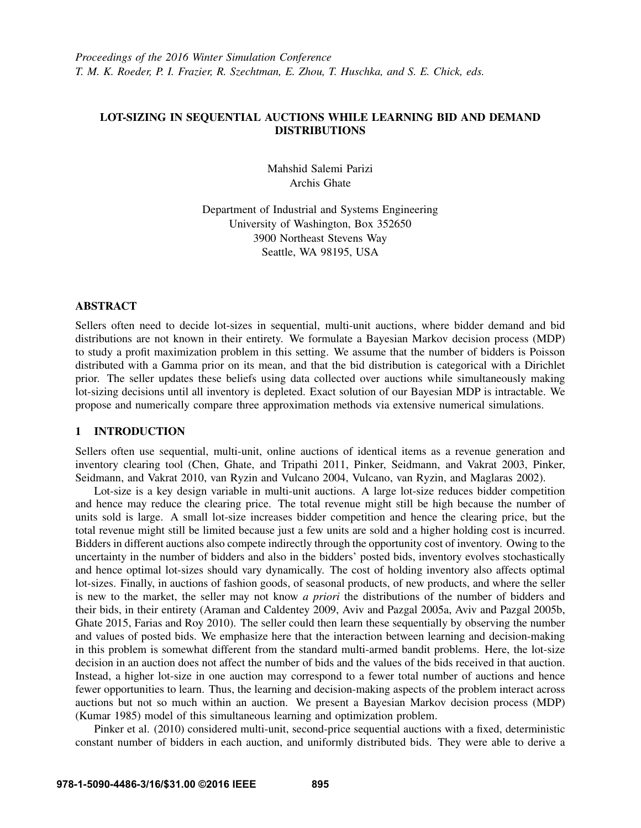# LOT-SIZING IN SEQUENTIAL AUCTIONS WHILE LEARNING BID AND DEMAND DISTRIBUTIONS

Mahshid Salemi Parizi Archis Ghate

Department of Industrial and Systems Engineering University of Washington, Box 352650 3900 Northeast Stevens Way Seattle, WA 98195, USA

## ABSTRACT

Sellers often need to decide lot-sizes in sequential, multi-unit auctions, where bidder demand and bid distributions are not known in their entirety. We formulate a Bayesian Markov decision process (MDP) to study a profit maximization problem in this setting. We assume that the number of bidders is Poisson distributed with a Gamma prior on its mean, and that the bid distribution is categorical with a Dirichlet prior. The seller updates these beliefs using data collected over auctions while simultaneously making lot-sizing decisions until all inventory is depleted. Exact solution of our Bayesian MDP is intractable. We propose and numerically compare three approximation methods via extensive numerical simulations.

# 1 INTRODUCTION

Sellers often use sequential, multi-unit, online auctions of identical items as a revenue generation and inventory clearing tool (Chen, Ghate, and Tripathi 2011, Pinker, Seidmann, and Vakrat 2003, Pinker, Seidmann, and Vakrat 2010, van Ryzin and Vulcano 2004, Vulcano, van Ryzin, and Maglaras 2002).

Lot-size is a key design variable in multi-unit auctions. A large lot-size reduces bidder competition and hence may reduce the clearing price. The total revenue might still be high because the number of units sold is large. A small lot-size increases bidder competition and hence the clearing price, but the total revenue might still be limited because just a few units are sold and a higher holding cost is incurred. Bidders in different auctions also compete indirectly through the opportunity cost of inventory. Owing to the uncertainty in the number of bidders and also in the bidders' posted bids, inventory evolves stochastically and hence optimal lot-sizes should vary dynamically. The cost of holding inventory also affects optimal lot-sizes. Finally, in auctions of fashion goods, of seasonal products, of new products, and where the seller is new to the market, the seller may not know *a priori* the distributions of the number of bidders and their bids, in their entirety (Araman and Caldentey 2009, Aviv and Pazgal 2005a, Aviv and Pazgal 2005b, Ghate 2015, Farias and Roy 2010). The seller could then learn these sequentially by observing the number and values of posted bids. We emphasize here that the interaction between learning and decision-making in this problem is somewhat different from the standard multi-armed bandit problems. Here, the lot-size decision in an auction does not affect the number of bids and the values of the bids received in that auction. Instead, a higher lot-size in one auction may correspond to a fewer total number of auctions and hence fewer opportunities to learn. Thus, the learning and decision-making aspects of the problem interact across auctions but not so much within an auction. We present a Bayesian Markov decision process (MDP) (Kumar 1985) model of this simultaneous learning and optimization problem.

Pinker et al. (2010) considered multi-unit, second-price sequential auctions with a fixed, deterministic constant number of bidders in each auction, and uniformly distributed bids. They were able to derive a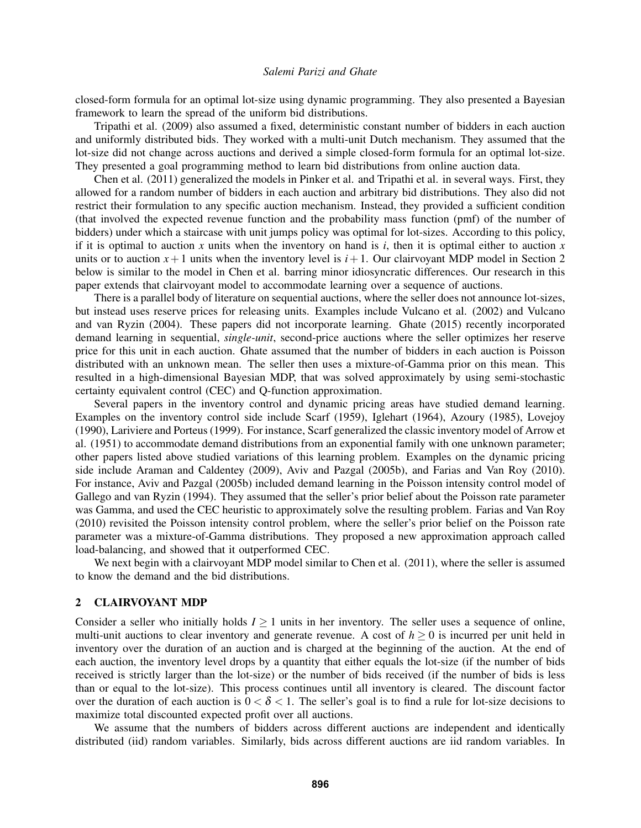closed-form formula for an optimal lot-size using dynamic programming. They also presented a Bayesian framework to learn the spread of the uniform bid distributions.

Tripathi et al. (2009) also assumed a fixed, deterministic constant number of bidders in each auction and uniformly distributed bids. They worked with a multi-unit Dutch mechanism. They assumed that the lot-size did not change across auctions and derived a simple closed-form formula for an optimal lot-size. They presented a goal programming method to learn bid distributions from online auction data.

Chen et al. (2011) generalized the models in Pinker et al. and Tripathi et al. in several ways. First, they allowed for a random number of bidders in each auction and arbitrary bid distributions. They also did not restrict their formulation to any specific auction mechanism. Instead, they provided a sufficient condition (that involved the expected revenue function and the probability mass function (pmf) of the number of bidders) under which a staircase with unit jumps policy was optimal for lot-sizes. According to this policy, if it is optimal to auction x units when the inventory on hand is  $i$ , then it is optimal either to auction  $x$ units or to auction  $x+1$  units when the inventory level is  $i+1$ . Our clairvoyant MDP model in Section 2 below is similar to the model in Chen et al. barring minor idiosyncratic differences. Our research in this paper extends that clairvoyant model to accommodate learning over a sequence of auctions.

There is a parallel body of literature on sequential auctions, where the seller does not announce lot-sizes, but instead uses reserve prices for releasing units. Examples include Vulcano et al. (2002) and Vulcano and van Ryzin (2004). These papers did not incorporate learning. Ghate (2015) recently incorporated demand learning in sequential, *single-unit*, second-price auctions where the seller optimizes her reserve price for this unit in each auction. Ghate assumed that the number of bidders in each auction is Poisson distributed with an unknown mean. The seller then uses a mixture-of-Gamma prior on this mean. This resulted in a high-dimensional Bayesian MDP, that was solved approximately by using semi-stochastic certainty equivalent control (CEC) and Q-function approximation.

Several papers in the inventory control and dynamic pricing areas have studied demand learning. Examples on the inventory control side include Scarf (1959), Iglehart (1964), Azoury (1985), Lovejoy (1990), Lariviere and Porteus (1999). For instance, Scarf generalized the classic inventory model of Arrow et al. (1951) to accommodate demand distributions from an exponential family with one unknown parameter; other papers listed above studied variations of this learning problem. Examples on the dynamic pricing side include Araman and Caldentey (2009), Aviv and Pazgal (2005b), and Farias and Van Roy (2010). For instance, Aviv and Pazgal (2005b) included demand learning in the Poisson intensity control model of Gallego and van Ryzin (1994). They assumed that the seller's prior belief about the Poisson rate parameter was Gamma, and used the CEC heuristic to approximately solve the resulting problem. Farias and Van Roy (2010) revisited the Poisson intensity control problem, where the seller's prior belief on the Poisson rate parameter was a mixture-of-Gamma distributions. They proposed a new approximation approach called load-balancing, and showed that it outperformed CEC.

We next begin with a clairvoyant MDP model similar to Chen et al. (2011), where the seller is assumed to know the demand and the bid distributions.

## 2 CLAIRVOYANT MDP

Consider a seller who initially holds  $I \geq 1$  units in her inventory. The seller uses a sequence of online, multi-unit auctions to clear inventory and generate revenue. A cost of  $h \ge 0$  is incurred per unit held in inventory over the duration of an auction and is charged at the beginning of the auction. At the end of each auction, the inventory level drops by a quantity that either equals the lot-size (if the number of bids received is strictly larger than the lot-size) or the number of bids received (if the number of bids is less than or equal to the lot-size). This process continues until all inventory is cleared. The discount factor over the duration of each auction is  $0 < \delta < 1$ . The seller's goal is to find a rule for lot-size decisions to maximize total discounted expected profit over all auctions.

We assume that the numbers of bidders across different auctions are independent and identically distributed (iid) random variables. Similarly, bids across different auctions are iid random variables. In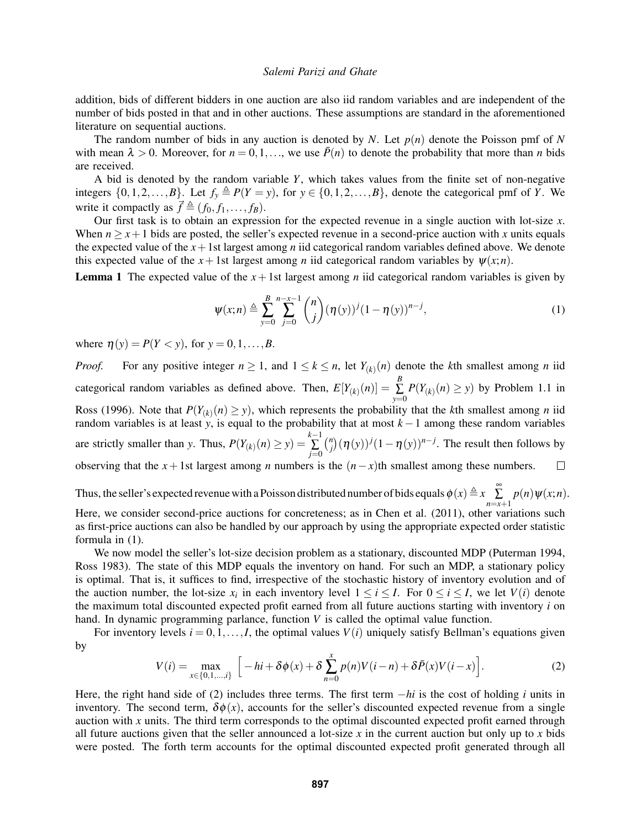addition, bids of different bidders in one auction are also iid random variables and are independent of the number of bids posted in that and in other auctions. These assumptions are standard in the aforementioned literature on sequential auctions.

The random number of bids in any auction is denoted by *N*. Let *p*(*n*) denote the Poisson pmf of *N* with mean  $\lambda > 0$ . Moreover, for  $n = 0, 1, \ldots$ , we use  $\bar{P}(n)$  to denote the probability that more than *n* bids are received.

A bid is denoted by the random variable *Y*, which takes values from the finite set of non-negative integers  $\{0,1,2,\ldots,B\}$ . Let  $f_y \triangleq P(Y = y)$ , for  $y \in \{0,1,2,\ldots,B\}$ , denote the categorical pmf of *Y*. We write it compactly as  $\vec{f} \triangleq (f_0, f_1, \ldots, f_B)$ .

Our first task is to obtain an expression for the expected revenue in a single auction with lot-size *x*. When  $n \geq x+1$  bids are posted, the seller's expected revenue in a second-price auction with x units equals the expected value of the  $x + 1$ st largest among *n* iid categorical random variables defined above. We denote this expected value of the  $x + 1$ st largest among *n* iid categorical random variables by  $\psi(x; n)$ .

**Lemma 1** The expected value of the  $x + 1$ st largest among *n* iid categorical random variables is given by

$$
\psi(x;n) \triangleq \sum_{y=0}^{B} \sum_{j=0}^{n-x-1} {n \choose j} (\eta(y))^j (1-\eta(y))^{n-j},
$$
\n(1)

where  $\eta(y) = P(Y < y)$ , for  $y = 0, 1, ..., B$ .

*Proof.* For any positive integer  $n \geq 1$ , and  $1 \leq k \leq n$ , let  $Y_{(k)}(n)$  denote the *k*th smallest among *n* iid categorical random variables as defined above. Then,  $E[Y_{(k)}(n)] = \sum_{k=1}^{B}$  $\sum_{y=0} P(Y_{(k)}(n) \ge y)$  by Problem 1.1 in Ross (1996). Note that  $P(Y_{(k)}(n) \ge y)$ , which represents the probability that the *k*th smallest among *n* iid random variables is at least *y*, is equal to the probability that at most *k*−1 among these random variables are strictly smaller than *y*. Thus,  $P(Y_{(k)}(n) \ge y) = \sum_{k=1}^{k-1}$  *n*  $\int_{j}^{n}$  $(\eta(y))^{j}(1-\eta(y))^{n-j}$ . The result then follows by ∑ *j*=0 observing that the  $x + 1$ st largest among *n* numbers is the  $(n - x)$ th smallest among these numbers.  $\Box$ 

Thus, the seller's expected revenue with a Poisson distributed number of bids equals  $\phi(x) \triangleq x \sum_{n=1}^{\infty}$  $\sum_{n=x+1} p(n) \psi(x; n).$ Here, we consider second-price auctions for concreteness; as in Chen et al. (2011), other variations such as first-price auctions can also be handled by our approach by using the appropriate expected order statistic

formula in (1).

We now model the seller's lot-size decision problem as a stationary, discounted MDP (Puterman 1994, Ross 1983). The state of this MDP equals the inventory on hand. For such an MDP, a stationary policy is optimal. That is, it suffices to find, irrespective of the stochastic history of inventory evolution and of the auction number, the lot-size  $x_i$  in each inventory level  $1 \le i \le I$ . For  $0 \le i \le I$ , we let  $V(i)$  denote the maximum total discounted expected profit earned from all future auctions starting with inventory *i* on hand. In dynamic programming parlance, function *V* is called the optimal value function.

For inventory levels  $i = 0, 1, \ldots, I$ , the optimal values  $V(i)$  uniquely satisfy Bellman's equations given by

$$
V(i) = \max_{x \in \{0, 1, \dots, i\}} \left[ -hi + \delta \phi(x) + \delta \sum_{n=0}^{x} p(n)V(i-n) + \delta \bar{P}(x)V(i-x) \right].
$$
 (2)

Here, the right hand side of (2) includes three terms. The first term −*hi* is the cost of holding *i* units in inventory. The second term,  $\delta\phi(x)$ , accounts for the seller's discounted expected revenue from a single auction with *x* units. The third term corresponds to the optimal discounted expected profit earned through all future auctions given that the seller announced a lot-size  $x$  in the current auction but only up to  $x$  bids were posted. The forth term accounts for the optimal discounted expected profit generated through all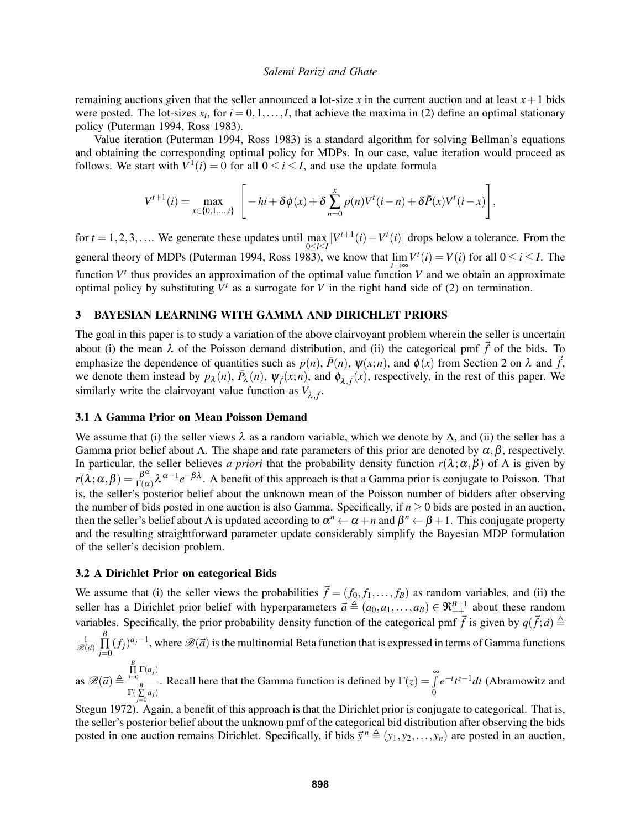remaining auctions given that the seller announced a lot-size x in the current auction and at least  $x + 1$  bids were posted. The lot-sizes  $x_i$ , for  $i = 0, 1, \ldots, I$ , that achieve the maxima in (2) define an optimal stationary policy (Puterman 1994, Ross 1983).

Value iteration (Puterman 1994, Ross 1983) is a standard algorithm for solving Bellman's equations and obtaining the corresponding optimal policy for MDPs. In our case, value iteration would proceed as follows. We start with  $V^1(i) = 0$  for all  $0 \le i \le I$ , and use the update formula

$$
V^{t+1}(i) = \max_{x \in \{0, 1, ..., i\}} \left[ -hi + \delta \phi(x) + \delta \sum_{n=0}^{x} p(n) V^{t}(i-n) + \delta \bar{P}(x) V^{t}(i-x) \right],
$$

for  $t = 1, 2, 3, \ldots$  We generate these updates until  $\max_{0 \le i \le I} |V^{t+1}(i) - V^{t}(i)|$  drops below a tolerance. From the general theory of MDPs (Puterman 1994, Ross 1983), we know that  $\lim_{t\to\infty} V^t(i) = V(i)$  for all  $0 \le i \le I$ . The function  $V^t$  thus provides an approximation of the optimal value function V and we obtain an approximate optimal policy by substituting  $V^t$  as a surrogate for  $V$  in the right hand side of (2) on termination.

## 3 BAYESIAN LEARNING WITH GAMMA AND DIRICHLET PRIORS

The goal in this paper is to study a variation of the above clairvoyant problem wherein the seller is uncertain about (i) the mean  $\lambda$  of the Poisson demand distribution, and (ii) the categorical pmf  $\vec{f}$  of the bids. To emphasize the dependence of quantities such as  $p(n)$ ,  $\bar{P}(n)$ ,  $\psi(x;n)$ , and  $\phi(x)$  from Section 2 on  $\lambda$  and  $\vec{f}$ , we denote them instead by  $p_{\lambda}(n)$ ,  $\bar{P}_{\lambda}(n)$ ,  $\psi_{\bar{f}}(x;n)$ , and  $\phi_{\lambda,\bar{f}}(x)$ , respectively, in the rest of this paper. We similarly write the clairvoyant value function as  $V_{\lambda, \vec{f}}$ .

# 3.1 A Gamma Prior on Mean Poisson Demand

We assume that (i) the seller views  $\lambda$  as a random variable, which we denote by  $\Lambda$ , and (ii) the seller has a Gamma prior belief about Λ. The shape and rate parameters of this prior are denoted by  $\alpha, \beta$ , respectively. In particular, the seller believes *a priori* that the probability density function *r*(λ;α,β) of Λ is given by  $r(\lambda;\alpha,\beta) = \frac{\beta^\alpha}{\Gamma(\alpha)}$  $\frac{\beta^{\alpha}}{\Gamma(\alpha)}\lambda^{\alpha-1}e^{-\beta\lambda}$ . A benefit of this approach is that a Gamma prior is conjugate to Poisson. That is, the seller's posterior belief about the unknown mean of the Poisson number of bidders after observing the number of bids posted in one auction is also Gamma. Specifically, if  $n \geq 0$  bids are posted in an auction, then the seller's belief about  $\Lambda$  is updated according to  $\alpha^n \leftarrow \alpha + n$  and  $\beta^n \leftarrow \beta + 1$ . This conjugate property and the resulting straightforward parameter update considerably simplify the Bayesian MDP formulation of the seller's decision problem.

#### 3.2 A Dirichlet Prior on categorical Bids

We assume that (i) the seller views the probabilities  $\vec{f} = (f_0, f_1, \ldots, f_B)$  as random variables, and (ii) the seller has a Dirichlet prior belief with hyperparameters  $\vec{a} \triangleq (a_0, a_1, \ldots, a_B) \in \Re_{++}^{B+1}$  about these random variables. Specifically, the prior probability density function of the categorical pmf  $\vec{f}$  is given by  $q(\vec{f};\vec{a}) \triangleq$ 

$$
\frac{1}{\mathcal{B}(\vec{a})}\prod_{j=0}^{B}(f_j)^{a_j-1}
$$
, where  $\mathcal{B}(\vec{a})$  is the multinomial Beta function that is expressed in terms of Gamma functions

as  $\mathscr{B}(\vec{a}) \triangleq$  $\prod_{j=0}^B$  Γ(*a<sub>j</sub>*)  $\Gamma(\sum_{j=0}^B a_j)$ . Recall here that the Gamma function is defined by  $\Gamma(z) = \int_0^\infty$  $\boldsymbol{0}$ *e* −*t t <sup>z</sup>*−1*dt* (Abramowitz and

Stegun 1972). Again, a benefit of this approach is that the Dirichlet prior is conjugate to categorical. That is, the seller's posterior belief about the unknown pmf of the categorical bid distribution after observing the bids posted in one auction remains Dirichlet. Specifically, if bids  $\vec{y}^n \triangleq (y_1, y_2, \dots, y_n)$  are posted in an auction,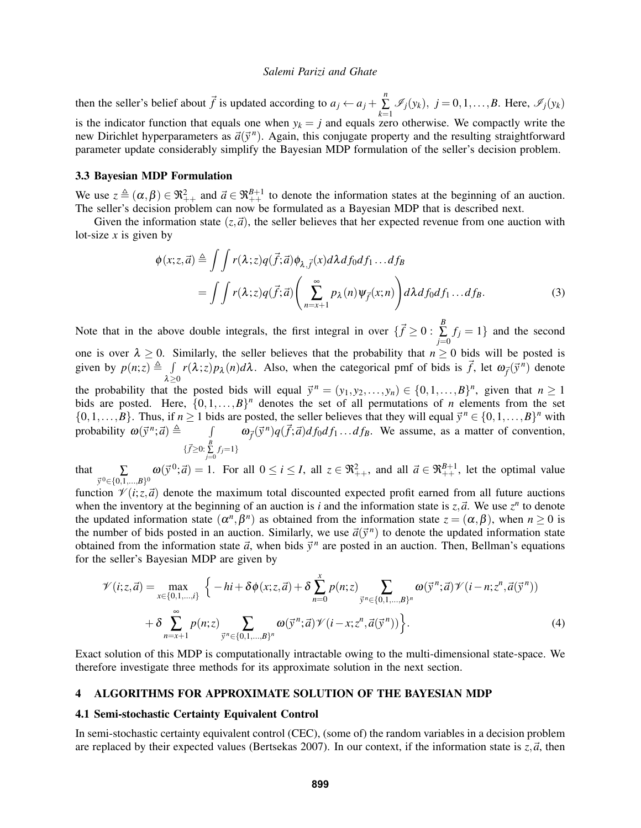then the seller's belief about  $\vec{f}$  is updated according to  $a_j \leftarrow a_j + \sum_{i=1}^{n} a_i$  $\sum_{k=1}$   $\mathscr{I}_j(y_k)$ ,  $j = 0, 1, \ldots, B$ . Here,  $\mathscr{I}_j(y_k)$ is the indicator function that equals one when  $y_k = j$  and equals zero otherwise. We compactly write the new Dirichlet hyperparameters as  $\vec{a}(\vec{y}^n)$ . Again, this conjugate property and the resulting straightforward parameter update considerably simplify the Bayesian MDP formulation of the seller's decision problem.

### 3.3 Bayesian MDP Formulation

We use  $z \triangleq (\alpha, \beta) \in \mathbb{R}^2_{++}$  and  $\vec{a} \in \mathbb{R}^{B+1}_{++}$  to denote the information states at the beginning of an auction. The seller's decision problem can now be formulated as a Bayesian MDP that is described next.

Given the information state  $(z, \vec{a})$ , the seller believes that her expected revenue from one auction with lot-size *x* is given by

$$
\phi(x; z, \vec{a}) \triangleq \iint r(\lambda; z) q(\vec{f}; \vec{a}) \phi_{\lambda, \vec{f}}(x) d\lambda df_0 df_1 \dots df_B
$$
  
= 
$$
\iint r(\lambda; z) q(\vec{f}; \vec{a}) \left( \sum_{n=x+1}^{\infty} p_{\lambda}(n) \psi_{\vec{f}}(x; n) \right) d\lambda df_0 df_1 \dots df_B.
$$
 (3)

Note that in the above double integrals, the first integral in over  $\{\vec{f} \geq 0 : \sum_{i=1}^{B} d_i\}$  $\sum_{j=0}$  *f*<sub>*j*</sub> = 1} and the second one is over  $\lambda \geq 0$ . Similarly, the seller believes that the probability that  $n \geq 0$  bids will be posted is given by  $p(n;z) \triangleq \int$  $\int_{\lambda \ge 0} r(\lambda; z) p_{\lambda}(n) d\lambda$ . Also, when the categorical pmf of bids is  $\vec{f}$ , let  $\omega_{\vec{f}}(\vec{y}^n)$  denote

the probability that the posted bids will equal  $\vec{y}^n = (y_1, y_2, \dots, y_n) \in \{0, 1, \dots, B\}^n$ , given that  $n \ge 1$ bids are posted. Here,  $\{0,1,\ldots,B\}^n$  denotes the set of all permutations of *n* elements from the set  $\{0,1,\ldots,B\}$ . Thus, if  $n \geq 1$  bids are posted, the seller believes that they will equal  $\vec{y}$  $n \in \{0, 1, ..., B\}^n$  with probability  $\omega(\vec{y}^n; \vec{a}) \triangleq$   $\int$  $\{\vec{f}\geq 0: \sum_{j=0}^{B}f_j=1\}$  $\omega_{\vec{f}}(\vec{y}^n)q(\vec{f};\vec{a})df_0df_1...df_B$ . We assume, as a matter of convention,

that  $\sum_{\vec{y}^0 \in \{0,1,\dots,B\}^0} \omega(\vec{y}^0; \vec{a}) = 1$ . For all  $0 \le i \le I$ , all  $z \in \Re^{2}_{++}$ , and all  $\vec{a} \in \Re^{B+1}_{++}$ , let the optimal value

function  $\mathcal{V}(i; z, \vec{a})$  denote the maximum total discounted expected profit earned from all future auctions when the inventory at the beginning of an auction is *i* and the information state is  $z, \vec{a}$ . We use  $z^n$  to denote the updated information state  $(\alpha^n, \beta^n)$  as obtained from the information state  $z = (\alpha, \beta)$ , when  $n \ge 0$  is the number of bids posted in an auction. Similarly, we use  $\vec{a}(\vec{y}^n)$  to denote the updated information state obtained from the information state  $\vec{a}$ , when bids  $\vec{y}^n$  are posted in an auction. Then, Bellman's equations for the seller's Bayesian MDP are given by

$$
\mathcal{V}(i; z, \vec{a}) = \max_{x \in \{0, 1, \dots, i\}} \left\{ -hi + \delta \phi(x; z, \vec{a}) + \delta \sum_{n=0}^{x} p(n; z) \sum_{\vec{y}^n \in \{0, 1, \dots, B\}^n} \omega(\vec{y}^n; \vec{a}) \mathcal{V}(i - n; z^n, \vec{a}(\vec{y}^n)) + \delta \sum_{n=x+1}^{\infty} p(n; z) \sum_{\vec{y}^n \in \{0, 1, \dots, B\}^n} \omega(\vec{y}^n; \vec{a}) \mathcal{V}(i - x; z^n, \vec{a}(\vec{y}^n)) \right\}.
$$
\n(4)

Exact solution of this MDP is computationally intractable owing to the multi-dimensional state-space. We therefore investigate three methods for its approximate solution in the next section.

### 4 ALGORITHMS FOR APPROXIMATE SOLUTION OF THE BAYESIAN MDP

#### 4.1 Semi-stochastic Certainty Equivalent Control

In semi-stochastic certainty equivalent control (CEC), (some of) the random variables in a decision problem are replaced by their expected values (Bertsekas 2007). In our context, if the information state is  $z, \vec{a}$ , then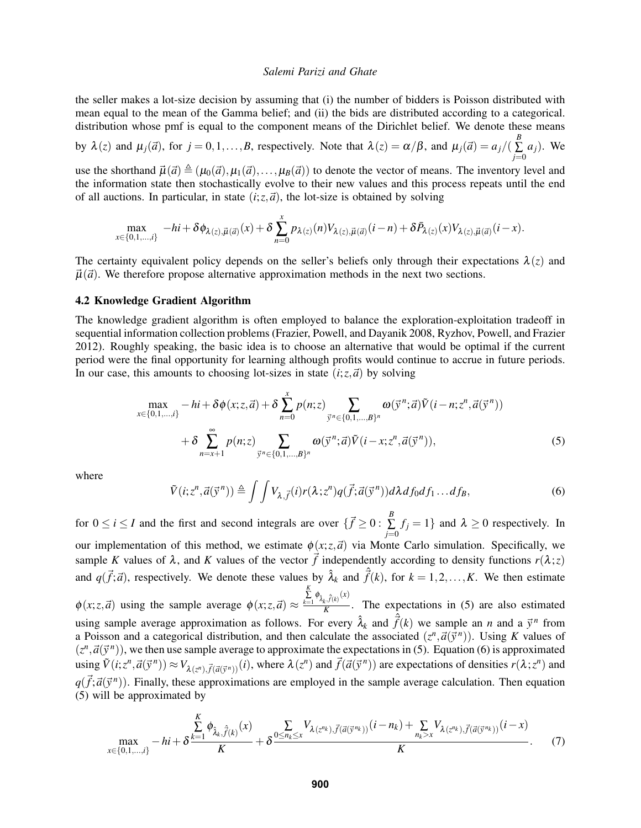the seller makes a lot-size decision by assuming that (i) the number of bidders is Poisson distributed with mean equal to the mean of the Gamma belief; and (ii) the bids are distributed according to a categorical. distribution whose pmf is equal to the component means of the Dirichlet belief. We denote these means

by 
$$
\lambda(z)
$$
 and  $\mu_j(\vec{a})$ , for  $j = 0, 1, ..., B$ , respectively. Note that  $\lambda(z) = \alpha/\beta$ , and  $\mu_j(\vec{a}) = a_j/(\sum_{j=0}^B a_j)$ . We

use the shorthand  $\vec{\mu}(\vec{a}) \triangleq (\mu_0(\vec{a}), \mu_1(\vec{a}), \ldots, \mu_B(\vec{a}))$  to denote the vector of means. The inventory level and the information state then stochastically evolve to their new values and this process repeats until the end of all auctions. In particular, in state  $(i, z, \vec{a})$ , the lot-size is obtained by solving

$$
\max_{x\in\{0,1,\ldots,i\}}\ -hi+\delta\phi_{\lambda(z),\vec\mu(\vec a)}(x)+\delta\sum_{n=0}^xp_{\lambda(z)}(n)V_{\lambda(z),\vec\mu(\vec a)}(i-n)+\delta\bar P_{\lambda(z)}(x)V_{\lambda(z),\vec\mu(\vec a)}(i-x).
$$

The certainty equivalent policy depends on the seller's beliefs only through their expectations  $\lambda(z)$  and  $\vec{\mu}(\vec{a})$ . We therefore propose alternative approximation methods in the next two sections.

### 4.2 Knowledge Gradient Algorithm

The knowledge gradient algorithm is often employed to balance the exploration-exploitation tradeoff in sequential information collection problems (Frazier, Powell, and Dayanik 2008, Ryzhov, Powell, and Frazier 2012). Roughly speaking, the basic idea is to choose an alternative that would be optimal if the current period were the final opportunity for learning although profits would continue to accrue in future periods. In our case, this amounts to choosing lot-sizes in state  $(i, z, \vec{a})$  by solving

$$
\max_{x \in \{0,1,\dots,i\}} -hi + \delta \phi(x; z, \vec{a}) + \delta \sum_{n=0}^{x} p(n; z) \sum_{\vec{y}^n \in \{0,1,\dots,B\}^n} \omega(\vec{y}^n; \vec{a}) \tilde{V}(i - n; z^n, \vec{a}(\vec{y}^n)) + \delta \sum_{n=x+1}^{\infty} p(n; z) \sum_{\vec{y}^n \in \{0,1,\dots,B\}^n} \omega(\vec{y}^n; \vec{a}) \tilde{V}(i - x; z^n, \vec{a}(\vec{y}^n)),
$$
(5)

where

$$
\tilde{V}(i; z^n, \vec{a}(\vec{y}^n)) \triangleq \int \int V_{\lambda, \vec{f}}(i) r(\lambda; z^n) q(\vec{f}; \vec{a}(\vec{y}^n)) d\lambda df_0 df_1 \dots df_B,
$$
\n(6)

for  $0 \le i \le I$  and the first and second integrals are over  $\{\vec{f} \ge 0 : \sum_{i=1}^{B} d_i\}$  $\sum_{j=0} f_j = 1$ } and  $\lambda \ge 0$  respectively. In our implementation of this method, we estimate  $\phi(x; z, \vec{a})$  via Monte Carlo simulation. Specifically, we sample *K* values of  $\lambda$ , and *K* values of the vector  $\vec{f}$  independently according to density functions  $r(\lambda; z)$ and  $q(\vec{f};\vec{a})$ , respectively. We denote these values by  $\hat{\lambda}_k$  and  $\hat{\vec{f}}(k)$ , for  $k = 1,2,...,K$ . We then estimate  $\phi(x; z, \vec{a})$  using the sample average  $\phi(x; z, \vec{a}) \approx$  $\sum_{k=1}^{K} \phi_{\hat{\lambda}_k, \hat{\vec{f}}(k)}(x)$  $K$  . The expectations in (5) are also estimated using sample average approximation as follows. For every  $\hat{\lambda}_k$  and  $\hat{f}(k)$  we sample an *n* and a  $\vec{y}^n$  from a Poisson and a categorical distribution, and then calculate the associated  $(z^n, \vec{a}(\vec{y}^n))$ . Using *K* values of  $(z^n, \vec{a}(\vec{y}^n))$ , we then use sample average to approximate the expectations in (5). Equation (6) is approximated using  $\tilde{V}(i; z^n, \vec{a}(\vec{y}^n)) \approx V_{\lambda(z^n), \vec{f}(\vec{a}(\vec{y}^n))}(i)$ , where  $\lambda(z^n)$  and  $\vec{f}(\vec{a}(\vec{y}^n))$  are expectations of densities  $r(\lambda; z^n)$  and  $q(\vec{f}; \vec{a}(\vec{y}^n))$ . Finally, these approximations are employed in the sample average calculation. Then equation (5) will be approximated by

$$
\max_{x \in \{0,1,\ldots,i\}} -hi + \delta \frac{\sum_{k=1}^{K} \phi_{\hat{\lambda}_k, \hat{\vec{f}}(k)}(x)}{K} + \delta \frac{\sum_{k=1}^{K} V_{\lambda(z^{n_k}), \vec{f}(\vec{a}(\vec{y}^{n_k}))}(i - n_k) + \sum_{k \geq x} V_{\lambda(z^{n_k}), \vec{f}(\vec{a}(\vec{y}^{n_k}))}(i - x)}{K}.
$$
 (7)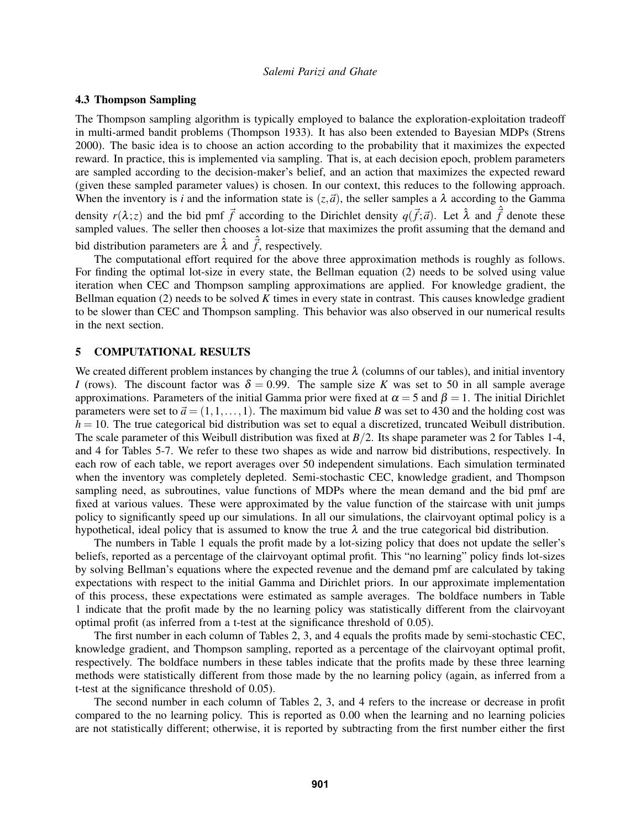### 4.3 Thompson Sampling

The Thompson sampling algorithm is typically employed to balance the exploration-exploitation tradeoff in multi-armed bandit problems (Thompson 1933). It has also been extended to Bayesian MDPs (Strens 2000). The basic idea is to choose an action according to the probability that it maximizes the expected reward. In practice, this is implemented via sampling. That is, at each decision epoch, problem parameters are sampled according to the decision-maker's belief, and an action that maximizes the expected reward (given these sampled parameter values) is chosen. In our context, this reduces to the following approach. When the inventory is *i* and the information state is  $(z, \vec{a})$ , the seller samples a  $\lambda$  according to the Gamma density  $r(\lambda; z)$  and the bid pmf  $\vec{f}$  according to the Dirichlet density  $q(\vec{f}; \vec{a})$ . Let  $\hat{\lambda}$  and  $\hat{\vec{f}}$  denote these sampled values. The seller then chooses a lot-size that maximizes the profit assuming that the demand and bid distribution parameters are  $\hat{\lambda}$  and  $\vec{f}$ , respectively.

The computational effort required for the above three approximation methods is roughly as follows. For finding the optimal lot-size in every state, the Bellman equation (2) needs to be solved using value iteration when CEC and Thompson sampling approximations are applied. For knowledge gradient, the Bellman equation (2) needs to be solved *K* times in every state in contrast. This causes knowledge gradient to be slower than CEC and Thompson sampling. This behavior was also observed in our numerical results in the next section.

# 5 COMPUTATIONAL RESULTS

We created different problem instances by changing the true  $\lambda$  (columns of our tables), and initial inventory *I* (rows). The discount factor was  $\delta = 0.99$ . The sample size *K* was set to 50 in all sample average approximations. Parameters of the initial Gamma prior were fixed at  $\alpha = 5$  and  $\beta = 1$ . The initial Dirichlet parameters were set to  $\vec{a} = (1,1,\ldots,1)$ . The maximum bid value *B* was set to 430 and the holding cost was  $h = 10$ . The true categorical bid distribution was set to equal a discretized, truncated Weibull distribution. The scale parameter of this Weibull distribution was fixed at *B*/2. Its shape parameter was 2 for Tables 1-4, and 4 for Tables 5-7. We refer to these two shapes as wide and narrow bid distributions, respectively. In each row of each table, we report averages over 50 independent simulations. Each simulation terminated when the inventory was completely depleted. Semi-stochastic CEC, knowledge gradient, and Thompson sampling need, as subroutines, value functions of MDPs where the mean demand and the bid pmf are fixed at various values. These were approximated by the value function of the staircase with unit jumps policy to significantly speed up our simulations. In all our simulations, the clairvoyant optimal policy is a hypothetical, ideal policy that is assumed to know the true  $\lambda$  and the true categorical bid distribution.

The numbers in Table 1 equals the profit made by a lot-sizing policy that does not update the seller's beliefs, reported as a percentage of the clairvoyant optimal profit. This "no learning" policy finds lot-sizes by solving Bellman's equations where the expected revenue and the demand pmf are calculated by taking expectations with respect to the initial Gamma and Dirichlet priors. In our approximate implementation of this process, these expectations were estimated as sample averages. The boldface numbers in Table 1 indicate that the profit made by the no learning policy was statistically different from the clairvoyant optimal profit (as inferred from a t-test at the significance threshold of 0.05).

The first number in each column of Tables 2, 3, and 4 equals the profits made by semi-stochastic CEC, knowledge gradient, and Thompson sampling, reported as a percentage of the clairvoyant optimal profit, respectively. The boldface numbers in these tables indicate that the profits made by these three learning methods were statistically different from those made by the no learning policy (again, as inferred from a t-test at the significance threshold of 0.05).

The second number in each column of Tables 2, 3, and 4 refers to the increase or decrease in profit compared to the no learning policy. This is reported as 0.00 when the learning and no learning policies are not statistically different; otherwise, it is reported by subtracting from the first number either the first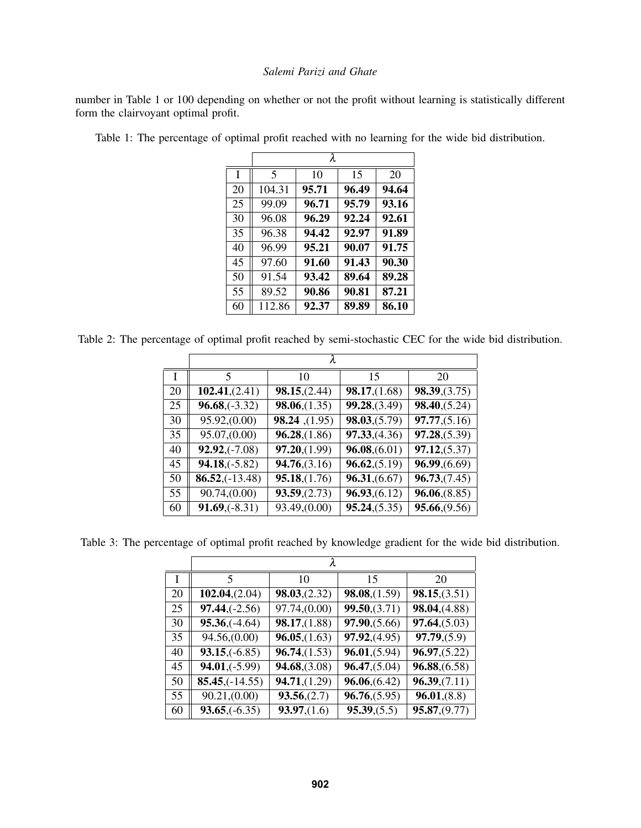number in Table 1 or 100 depending on whether or not the profit without learning is statistically different form the clairvoyant optimal profit.

|    | λ      |       |       |       |  |
|----|--------|-------|-------|-------|--|
| I  | 5      | 10    | 15    | 20    |  |
| 20 | 104.31 | 95.71 | 96.49 | 94.64 |  |
| 25 | 99.09  | 96.71 | 95.79 | 93.16 |  |
| 30 | 96.08  | 96.29 | 92.24 | 92.61 |  |
| 35 | 96.38  | 94.42 | 92.97 | 91.89 |  |
| 40 | 96.99  | 95.21 | 90.07 | 91.75 |  |
| 45 | 97.60  | 91.60 | 91.43 | 90.30 |  |
| 50 | 91.54  | 93.42 | 89.64 | 89.28 |  |
| 55 | 89.52  | 90.86 | 90.81 | 87.21 |  |
| 60 | 112.86 | 92.37 | 89.89 | 86.10 |  |

Table 1: The percentage of optimal profit reached with no learning for the wide bid distribution.

Table 2: The percentage of optimal profit reached by semi-stochastic CEC for the wide bid distribution.

| Ι. | 5               | 10                 | 15            | 20          |
|----|-----------------|--------------------|---------------|-------------|
| 20 | 102.41,(2.41)   | 98.15,(2.44)       | 98.17,(1.68)  | 98.39(3.75) |
| 25 | $96.68(-3.32)$  | 98.06(1.35)        | 99.28, (3.49) | 98.40(5.24) |
| 30 | 95.92(0.00)     | $98.24$ , $(1.95)$ | 98.03(5.79)   | 97.77(5.16) |
| 35 | 95.07(0.00)     | 96.28(1.86)        | 97.33(4.36)   | 97.28(5.39) |
| 40 | $92.92( -7.08)$ | 97.20(1.99)        | 96.08(6.01)   | 97.12(5.37) |
| 45 | $94.18(-5.82)$  | 94.76(3.16)        | 96.62(5.19)   | 96.99(6.69) |
| 50 | $86.52(-13.48)$ | 95.18(1.76)        | 96.31(6.67)   | 96.73(7.45) |
| 55 | 90.74(0.00)     | 93.59(2.73)        | 96.93(6.12)   | 96.06(8.85) |
| 60 | $91.69(-8.31)$  | 93.49, (0.00)      | 95.24(5.35)   | 95.66(9.56) |

Table 3: The percentage of optimal profit reached by knowledge gradient for the wide bid distribution.

| I  | 5                | 10           | 15           | 20                         |
|----|------------------|--------------|--------------|----------------------------|
| 20 | 102.04(2.04)     | 98.03(2.32)  | 98.08(1.59)  | 98.15(3.51)                |
| 25 | $97.44(-2.56)$   | 97.74(0.00)  | 99.50(3.71)  | 98.04(4.88)                |
| 30 | $95.36( -4.64)$  | 98.17(1.88)  | 97.90(5.66)  | 97.64(5.03)                |
| 35 | 94.56(0.00)      | 96.05(1.63)  | 97.92,(4.95) | $\overline{97.79}$ , (5.9) |
| 40 | $93.15(-6.85)$   | 96.74(1.53)  | 96.01(5.94)  | 96.97(5.22)                |
| 45 | $94.01, (-5.99)$ | 94.68(3.08)  | 96.47(5.04)  | 96.88(6.58)                |
| 50 | $85.45(-14.55)$  | 94.71,(1.29) | 96.06(6.42)  | 96.39(7.11)                |
| 55 | 90.21(0.00)      | 93.56(2.7)   | 96.76(5.95)  | 96.01(8.8)                 |
| 60 | $93.65, (-6.35)$ | 93.97,(1.6)  | 95.39(5.5)   | 95.87(9.77)                |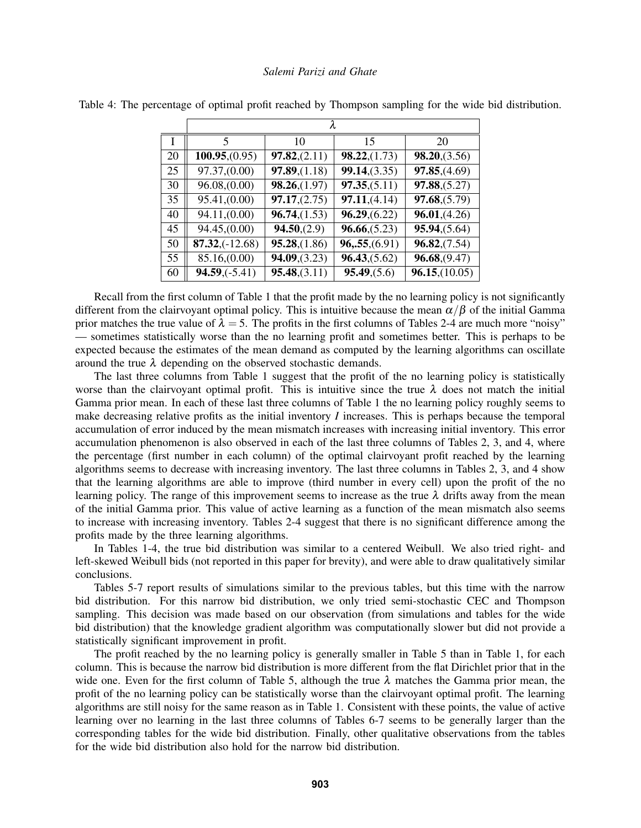| ı  | 5               | 10           | 15             | 20            |
|----|-----------------|--------------|----------------|---------------|
| 20 | 100.95(0.95)    | 97.82(2.11)  | 98.22,(1.73)   | 98.20(3.56)   |
| 25 | 97.37(0.00)     | 97.89(1.18)  | 99.14(3.35)    | 97.85(4.69)   |
| 30 | 96.08(0.00)     | 98.26(1.97)  | 97.35(5.11)    | 97.88(5.27)   |
| 35 | 95.41(0.00)     | 97.17,(2.75) | 97.11,(4.14)   | 97.68(5.79)   |
| 40 | 94.11(0.00)     | 96.74(1.53)  | 96.29(6.22)    | 96.01, (4.26) |
| 45 | 94.45(0.00)     | 94.50,(2.9)  | 96.66,(5.23)   | 95.94(5.64)   |
| 50 | $87.32(-12.68)$ | 95.28(1.86)  | 96, 55, (6.91) | 96.82,(7.54)  |
| 55 | 85.16(0.00)     | 94.09(3.23)  | 96.43(5.62)    | 96.68(9.47)   |
| 60 | $94.59(-5.41)$  | 95.48(3.11)  | 95.49(5.6)     | 96.15,(10.05) |

Table 4: The percentage of optimal profit reached by Thompson sampling for the wide bid distribution.

Recall from the first column of Table 1 that the profit made by the no learning policy is not significantly different from the clairvoyant optimal policy. This is intuitive because the mean  $\alpha/\beta$  of the initial Gamma prior matches the true value of  $\lambda = 5$ . The profits in the first columns of Tables 2-4 are much more "noisy" — sometimes statistically worse than the no learning profit and sometimes better. This is perhaps to be expected because the estimates of the mean demand as computed by the learning algorithms can oscillate around the true  $\lambda$  depending on the observed stochastic demands.

The last three columns from Table 1 suggest that the profit of the no learning policy is statistically worse than the clairvoyant optimal profit. This is intuitive since the true  $\lambda$  does not match the initial Gamma prior mean. In each of these last three columns of Table 1 the no learning policy roughly seems to make decreasing relative profits as the initial inventory *I* increases. This is perhaps because the temporal accumulation of error induced by the mean mismatch increases with increasing initial inventory. This error accumulation phenomenon is also observed in each of the last three columns of Tables 2, 3, and 4, where the percentage (first number in each column) of the optimal clairvoyant profit reached by the learning algorithms seems to decrease with increasing inventory. The last three columns in Tables 2, 3, and 4 show that the learning algorithms are able to improve (third number in every cell) upon the profit of the no learning policy. The range of this improvement seems to increase as the true  $\lambda$  drifts away from the mean of the initial Gamma prior. This value of active learning as a function of the mean mismatch also seems to increase with increasing inventory. Tables 2-4 suggest that there is no significant difference among the profits made by the three learning algorithms.

In Tables 1-4, the true bid distribution was similar to a centered Weibull. We also tried right- and left-skewed Weibull bids (not reported in this paper for brevity), and were able to draw qualitatively similar conclusions.

Tables 5-7 report results of simulations similar to the previous tables, but this time with the narrow bid distribution. For this narrow bid distribution, we only tried semi-stochastic CEC and Thompson sampling. This decision was made based on our observation (from simulations and tables for the wide bid distribution) that the knowledge gradient algorithm was computationally slower but did not provide a statistically significant improvement in profit.

The profit reached by the no learning policy is generally smaller in Table 5 than in Table 1, for each column. This is because the narrow bid distribution is more different from the flat Dirichlet prior that in the wide one. Even for the first column of Table 5, although the true  $\lambda$  matches the Gamma prior mean, the profit of the no learning policy can be statistically worse than the clairvoyant optimal profit. The learning algorithms are still noisy for the same reason as in Table 1. Consistent with these points, the value of active learning over no learning in the last three columns of Tables 6-7 seems to be generally larger than the corresponding tables for the wide bid distribution. Finally, other qualitative observations from the tables for the wide bid distribution also hold for the narrow bid distribution.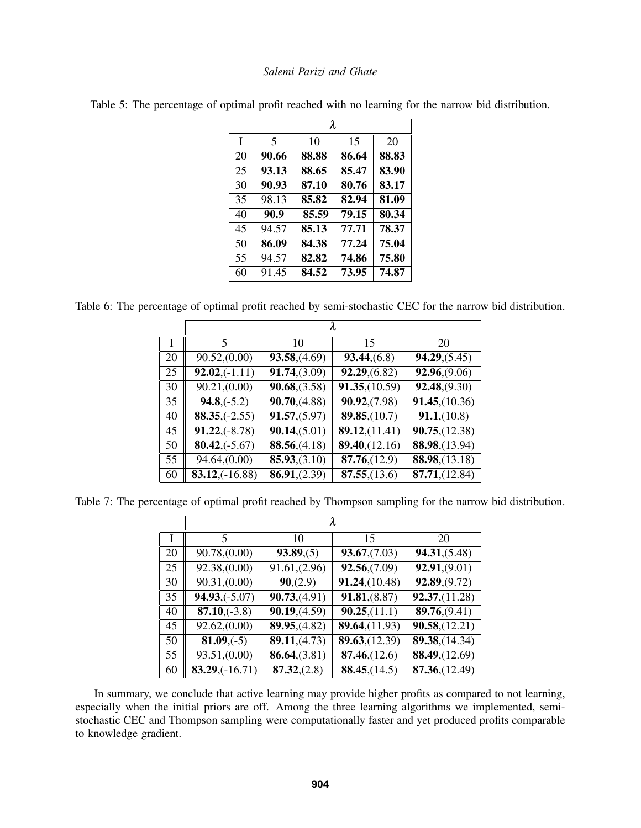|    | λ     |       |       |       |  |
|----|-------|-------|-------|-------|--|
| I  | 5     | 10    | 15    | 20    |  |
| 20 | 90.66 | 88.88 | 86.64 | 88.83 |  |
| 25 | 93.13 | 88.65 | 85.47 | 83.90 |  |
| 30 | 90.93 | 87.10 | 80.76 | 83.17 |  |
| 35 | 98.13 | 85.82 | 82.94 | 81.09 |  |
| 40 | 90.9  | 85.59 | 79.15 | 80.34 |  |
| 45 | 94.57 | 85.13 | 77.71 | 78.37 |  |
| 50 | 86.09 | 84.38 | 77.24 | 75.04 |  |
| 55 | 94.57 | 82.82 | 74.86 | 75.80 |  |
| 60 | 91.45 | 84.52 | 73.95 | 74.87 |  |

Table 5: The percentage of optimal profit reached with no learning for the narrow bid distribution.

Table 6: The percentage of optimal profit reached by semi-stochastic CEC for the narrow bid distribution.

|    | λ                |              |                |                |
|----|------------------|--------------|----------------|----------------|
| Т  | 5                | 10           | 15             | 20             |
| 20 | 90.52(0.00)      | 93.58(4.69)  | 93.44(6.8)     | 94.29(5.45)    |
| 25 | $92.02(-1.11)$   | 91.74(3.09)  | 92.29(6.82)    | 92.96(9.06)    |
| 30 | 90.21, (0.00)    | 90.68(3.58)  | 91.35,(10.59)  | 92.48(9.30)    |
| 35 | $94.8(-5.2)$     | 90.70(4.88)  | 90.92,(7.98)   | 91.45, (10.36) |
| 40 | $88.35(-2.55)$   | 91.57(5.97)  | 89.85(10.7)    | 91.1,(10.8)    |
| 45 | $91.22,(-.8.78)$ | 90.14(5.01)  | 89.12, (11.41) | 90.75(12.38)   |
| 50 | $80.42, (-5.67)$ | 88.56(4.18)  | 89.40(12.16)   | 88.98, (13.94) |
| 55 | 94.64(0.00)      | 85.93(3.10)  | 87.76(12.9)    | 88.98, (13.18) |
| 60 | $83.12(-16.88)$  | 86.91,(2.39) | 87.55(13.6)    | 87.71,(12.84)  |

Table 7: The percentage of optimal profit reached by Thompson sampling for the narrow bid distribution.

|    | λ               |               |                |                |
|----|-----------------|---------------|----------------|----------------|
| I  | 5               | 10            | 15             | 20             |
| 20 | 90.78(0.00)     | 93.89(5)      | 93.67(7.03)    | 94.31(5.48)    |
| 25 | 92.38(0.00)     | 91.61, (2.96) | 92.56(7.09)    | 92.91(9.01)    |
| 30 | 90.31, (0.00)   | 90,(2.9)      | 91.24, (10.48) | 92.89(9.72)    |
| 35 | $94.93(-5.07)$  | 90.73(4.91)   | 91.81(8.87)    | 92.37(11.28)   |
| 40 | $87.10(-3.8)$   | 90.19(4.59)   | 90.25(11.1)    | 89.76(9.41)    |
| 45 | 92.62(0.00)     | 89.95, (4.82) | 89.64, (11.93) | 90.58(12.21)   |
| 50 | $81.09(-5)$     | 89.11,(4.73)  | 89.63(12.39)   | 89.38, (14.34) |
| 55 | 93.51, (0.00)   | 86.64(3.81)   | 87.46(12.6)    | 88.49, (12.69) |
| 60 | $83.29(-16.71)$ | 87.32,(2.8)   | 88.45(14.5)    | 87.36(12.49)   |

In summary, we conclude that active learning may provide higher profits as compared to not learning, especially when the initial priors are off. Among the three learning algorithms we implemented, semistochastic CEC and Thompson sampling were computationally faster and yet produced profits comparable to knowledge gradient.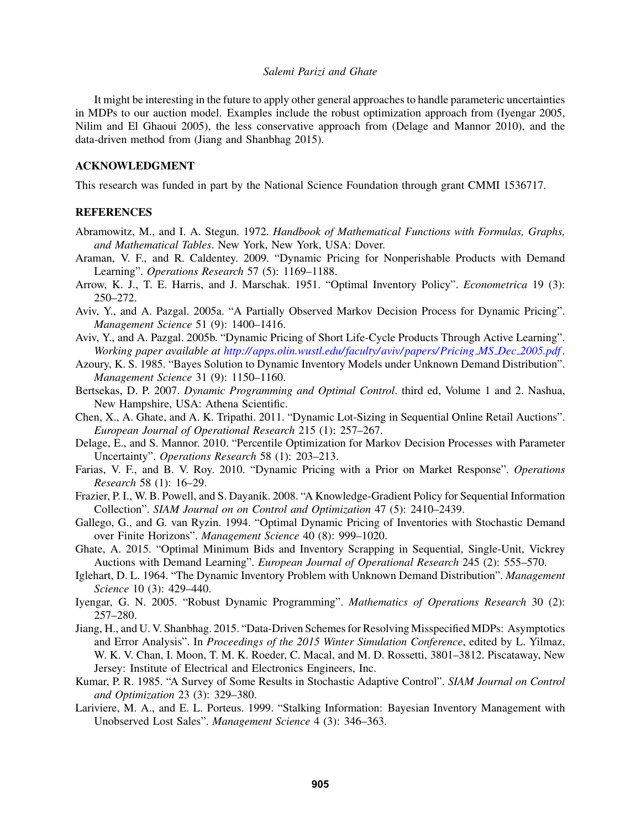It might be interesting in the future to apply other general approaches to handle parameteric uncertainties in MDPs to our auction model. Examples include the robust optimization approach from (Iyengar 2005, Nilim and El Ghaoui 2005), the less conservative approach from (Delage and Mannor 2010), and the data-driven method from (Jiang and Shanbhag 2015).

# ACKNOWLEDGMENT

This research was funded in part by the National Science Foundation through grant CMMI 1536717.

# **REFERENCES**

- Abramowitz, M., and I. A. Stegun. 1972. *Handbook of Mathematical Functions with Formulas, Graphs, and Mathematical Tables*. New York, New York, USA: Dover.
- Araman, V. F., and R. Caldentey. 2009. "Dynamic Pricing for Nonperishable Products with Demand Learning". *Operations Research* 57 (5): 1169–1188.
- Arrow, K. J., T. E. Harris, and J. Marschak. 1951. "Optimal Inventory Policy". *Econometrica* 19 (3): 250–272.
- Aviv, Y., and A. Pazgal. 2005a. "A Partially Observed Markov Decision Process for Dynamic Pricing". *Management Science* 51 (9): 1400–1416.
- Aviv, Y., and A. Pazgal. 2005b. "Dynamic Pricing of Short Life-Cycle Products Through Active Learning". *Working paper available at http:// apps.olin.wustl.edu/faculty/ aviv/ papers/Pricing MS Dec 2005.pdf* .
- Azoury, K. S. 1985. "Bayes Solution to Dynamic Inventory Models under Unknown Demand Distribution". *Management Science* 31 (9): 1150–1160.
- Bertsekas, D. P. 2007. *Dynamic Programming and Optimal Control*. third ed, Volume 1 and 2. Nashua, New Hampshire, USA: Athena Scientific.
- Chen, X., A. Ghate, and A. K. Tripathi. 2011. "Dynamic Lot-Sizing in Sequential Online Retail Auctions". *European Journal of Operational Research* 215 (1): 257–267.
- Delage, E., and S. Mannor. 2010. "Percentile Optimization for Markov Decision Processes with Parameter Uncertainty". *Operations Research* 58 (1): 203–213.
- Farias, V. F., and B. V. Roy. 2010. "Dynamic Pricing with a Prior on Market Response". *Operations Research* 58 (1): 16–29.
- Frazier, P. I., W. B. Powell, and S. Dayanik. 2008. "A Knowledge-Gradient Policy for Sequential Information Collection". *SIAM Journal on on Control and Optimization* 47 (5): 2410–2439.
- Gallego, G., and G. van Ryzin. 1994. "Optimal Dynamic Pricing of Inventories with Stochastic Demand over Finite Horizons". *Management Science* 40 (8): 999–1020.
- Ghate, A. 2015. "Optimal Minimum Bids and Inventory Scrapping in Sequential, Single-Unit, Vickrey Auctions with Demand Learning". *European Journal of Operational Research* 245 (2): 555–570.
- Iglehart, D. L. 1964. "The Dynamic Inventory Problem with Unknown Demand Distribution". *Management Science* 10 (3): 429–440.
- Iyengar, G. N. 2005. "Robust Dynamic Programming". *Mathematics of Operations Research* 30 (2): 257–280.
- Jiang, H., and U. V. Shanbhag. 2015. "Data-Driven Schemes for Resolving Misspecified MDPs: Asymptotics and Error Analysis". In *Proceedings of the 2015 Winter Simulation Conference*, edited by L. Yilmaz, W. K. V. Chan, I. Moon, T. M. K. Roeder, C. Macal, and M. D. Rossetti, 3801–3812. Piscataway, New Jersey: Institute of Electrical and Electronics Engineers, Inc.
- Kumar, P. R. 1985. "A Survey of Some Results in Stochastic Adaptive Control". *SIAM Journal on Control and Optimization* 23 (3): 329–380.
- Lariviere, M. A., and E. L. Porteus. 1999. "Stalking Information: Bayesian Inventory Management with Unobserved Lost Sales". *Management Science* 4 (3): 346–363.